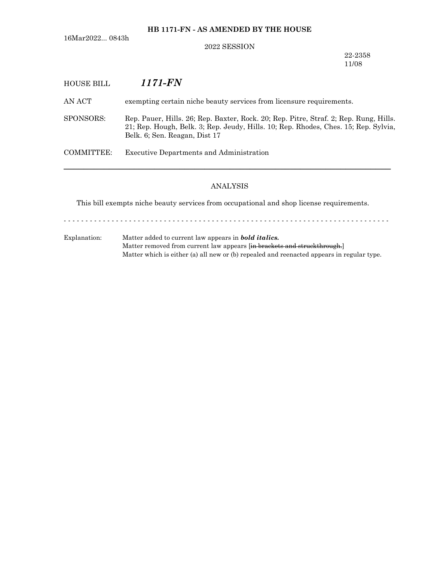**HB 1171-FN - AS AMENDED BY THE HOUSE**

16Mar2022... 0843h

### 2022 SESSION

22-2358 11/08

# HOUSE BILL *1171-FN*

AN ACT exempting certain niche beauty services from licensure requirements.

SPONSORS: Rep. Pauer, Hills. 26; Rep. Baxter, Rock. 20; Rep. Pitre, Straf. 2; Rep. Rung, Hills. 21; Rep. Hough, Belk. 3; Rep. Jeudy, Hills. 10; Rep. Rhodes, Ches. 15; Rep. Sylvia, Belk. 6; Sen. Reagan, Dist 17

COMMITTEE: Executive Departments and Administration

### ANALYSIS

─────────────────────────────────────────────────────────────────

This bill exempts niche beauty services from occupational and shop license requirements.

- - - - - - - - - - - - - - - - - - - - - - - - - - - - - - - - - - - - - - - - - - - - - - - - - - - - - - - - - - - - - - - - - - - - - - - - - - -

Explanation: Matter added to current law appears in *bold italics.* Matter removed from current law appears [in brackets and struckthrough.] Matter which is either (a) all new or (b) repealed and reenacted appears in regular type.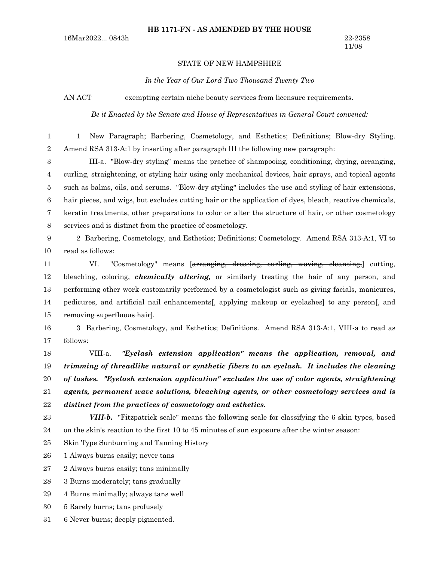#### STATE OF NEW HAMPSHIRE

#### *In the Year of Our Lord Two Thousand Twenty Two*

AN ACT exempting certain niche beauty services from licensure requirements.

*Be it Enacted by the Senate and House of Representatives in General Court convened:*

1 New Paragraph; Barbering, Cosmetology, and Esthetics; Definitions; Blow-dry Styling. Amend RSA 313-A:1 by inserting after paragraph III the following new paragraph: 1 2

III-a. "Blow-dry styling" means the practice of shampooing, conditioning, drying, arranging, curling, straightening, or styling hair using only mechanical devices, hair sprays, and topical agents such as balms, oils, and serums. "Blow-dry styling" includes the use and styling of hair extensions, hair pieces, and wigs, but excludes cutting hair or the application of dyes, bleach, reactive chemicals, keratin treatments, other preparations to color or alter the structure of hair, or other cosmetology services and is distinct from the practice of cosmetology. 3 4 5 6 7 8

2 Barbering, Cosmetology, and Esthetics; Definitions; Cosmetology. Amend RSA 313-A:1, VI to read as follows: 9 10

VI. "Cosmetology" means [arranging, dressing, curling, waving, cleansing,] cutting, bleaching, coloring, *chemically altering,* or similarly treating the hair of any person, and performing other work customarily performed by a cosmetologist such as giving facials, manicures, pedicures, and artificial nail enhancements. applying makeup or eyelashes to any person. and removing superfluous hair]. 11 12 13 14 15

3 Barbering, Cosmetology, and Esthetics; Definitions. Amend RSA 313-A:1, VIII-a to read as follows: 16 17

VIII-a. *"Eyelash extension application" means the application, removal, and trimming of threadlike natural or synthetic fibers to an eyelash. It includes the cleaning of lashes. "Eyelash extension application" excludes the use of color agents, straightening agents, permanent wave solutions, bleaching agents, or other cosmetology services and is distinct from the practices of cosmetology and esthetics.* 18 19 20 21 22

23

*VIII-b.* "Fitzpatrick scale" means the following scale for classifying the 6 skin types, based on the skin's reaction to the first 10 to 45 minutes of sun exposure after the winter season: 24

Skin Type Sunburning and Tanning History 25

1 Always burns easily; never tans 26

2 Always burns easily; tans minimally 27

3 Burns moderately; tans gradually 28

4 Burns minimally; always tans well 29

- 5 Rarely burns; tans profusely 30
- 6 Never burns; deeply pigmented. 31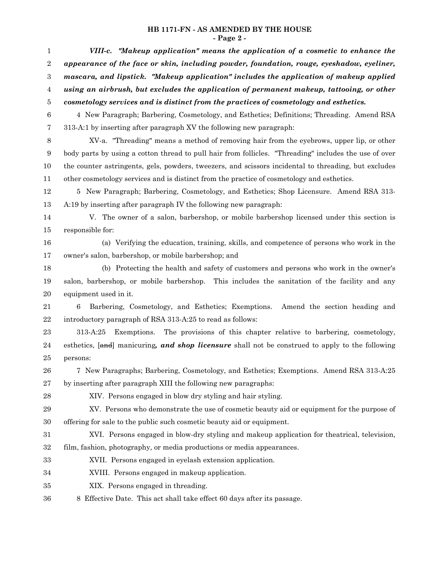## **HB 1171-FN - AS AMENDED BY THE HOUSE - Page 2 -**

| $\mathbf{1}$     | VIII-c. "Makeup application" means the application of a cosmetic to enhance the                       |
|------------------|-------------------------------------------------------------------------------------------------------|
| $\,2$            | appearance of the face or skin, including powder, foundation, rouge, eyeshadow, eyeliner,             |
| $\boldsymbol{3}$ | mascara, and lipstick. "Makeup application" includes the application of makeup applied                |
| $\overline{4}$   | using an airbrush, but excludes the application of permanent makeup, tattooing, or other              |
| 5                | cosmetology services and is distinct from the practices of cosmetology and esthetics.                 |
| $\,6$            | 4 New Paragraph; Barbering, Cosmetology, and Esthetics; Definitions; Threading. Amend RSA             |
| $\overline{7}$   | 313-A:1 by inserting after paragraph XV the following new paragraph:                                  |
| $8\,$            | XV-a. "Threading" means a method of removing hair from the eyebrows, upper lip, or other              |
| 9                | body parts by using a cotton thread to pull hair from follicles. "Threading" includes the use of over |
| 10               | the counter astringents, gels, powders, tweezers, and scissors incidental to threading, but excludes  |
| 11               | other cosmetology services and is distinct from the practice of cosmetology and esthetics.            |
| 12               | 5 New Paragraph; Barbering, Cosmetology, and Esthetics; Shop Licensure. Amend RSA 313-                |
| 13               | A:19 by inserting after paragraph IV the following new paragraph:                                     |
| 14               | V. The owner of a salon, barbershop, or mobile barbershop licensed under this section is              |
| 15               | responsible for:                                                                                      |
| 16               | (a) Verifying the education, training, skills, and competence of persons who work in the              |
| 17               | owner's salon, barbershop, or mobile barbershop; and                                                  |
| 18               | (b) Protecting the health and safety of customers and persons who work in the owner's                 |
| 19               | salon, barbershop, or mobile barbershop. This includes the sanitation of the facility and any         |
| 20               | equipment used in it.                                                                                 |
| 21               | Barbering, Cosmetology, and Esthetics; Exemptions. Amend the section heading and<br>6                 |
| $\bf 22$         | introductory paragraph of RSA 313-A:25 to read as follows:                                            |
| 23               | Exemptions. The provisions of this chapter relative to barbering, cosmetology,<br>313-A:25            |
| 24               | esthetics, [and] manicuring, and shop licensure shall not be construed to apply to the following      |
| 25               | persons:                                                                                              |
| 26               | 7 New Paragraphs; Barbering, Cosmetology, and Esthetics; Exemptions. Amend RSA 313-A:25               |
| 27               | by inserting after paragraph XIII the following new paragraphs:                                       |
| 28               | XIV. Persons engaged in blow dry styling and hair styling.                                            |
| 29               | XV. Persons who demonstrate the use of cosmetic beauty aid or equipment for the purpose of            |
| 30               | offering for sale to the public such cosmetic beauty aid or equipment.                                |
| 31               | XVI. Persons engaged in blow-dry styling and makeup application for theatrical, television,           |
| $32\,$           | film, fashion, photography, or media productions or media appearances.                                |
| 33               | XVII. Persons engaged in eyelash extension application.                                               |
| 34               | XVIII. Persons engaged in makeup application.                                                         |
| 35               | XIX. Persons engaged in threading.                                                                    |
| 36               | 8 Effective Date. This act shall take effect 60 days after its passage.                               |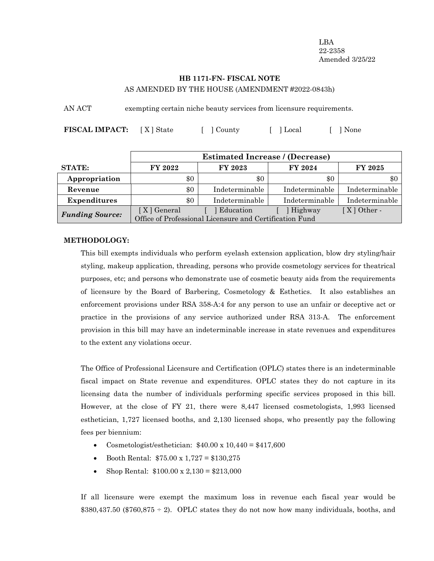LBA 22-2358 Amended 3/25/22

## **HB 1171-FN- FISCAL NOTE** AS AMENDED BY THE HOUSE (AMENDMENT #2022-0843h)

AN ACT exempting certain niche beauty services from licensure requirements.

**FISCAL IMPACT:**  $[X]$  State  $[ ]$  County  $[ ]$  Local  $[ ]$  None

|                        | <b>Estimated Increase / (Decrease)</b>                  |                |                |                |
|------------------------|---------------------------------------------------------|----------------|----------------|----------------|
| <b>STATE:</b>          | FY 2022                                                 | FY 2023        | FY 2024        | <b>FY 2025</b> |
| Appropriation          | \$0                                                     | \$0            | \$0            | \$0            |
| Revenue                | \$0                                                     | Indeterminable | Indeterminable | Indeterminable |
| <b>Expenditures</b>    | \$0                                                     | Indeterminable | Indeterminable | Indeterminable |
| <b>Funding Source:</b> | [X] General                                             | Education      | Highway        | $[X]$ Other -  |
|                        | Office of Professional Licensure and Certification Fund |                |                |                |

## **METHODOLOGY:**

This bill exempts individuals who perform eyelash extension application, blow dry styling/hair styling, makeup application, threading, persons who provide cosmetology services for theatrical purposes, etc; and persons who demonstrate use of cosmetic beauty aids from the requirements of licensure by the Board of Barbering, Cosmetology & Esthetics. It also establishes an enforcement provisions under RSA 358-A:4 for any person to use an unfair or deceptive act or practice in the provisions of any service authorized under RSA 313-A. The enforcement provision in this bill may have an indeterminable increase in state revenues and expenditures to the extent any violations occur.

The Office of Professional Licensure and Certification (OPLC) states there is an indeterminable fiscal impact on State revenue and expenditures. OPLC states they do not capture in its licensing data the number of individuals performing specific services proposed in this bill. However, at the close of FY 21, there were 8,447 licensed cosmetologists, 1,993 licensed esthetician, 1,727 licensed booths, and 2,130 licensed shops, who presently pay the following fees per biennium:

- Cosmetologist/esthetician:  $$40.00 \times 10,440 = $417,600$
- Booth Rental:  $$75.00 \times 1,727 = $130,275$
- Shop Rental:  $$100.00 \times 2,130 = $213,000$

If all licensure were exempt the maximum loss in revenue each fiscal year would be  $$380,437.50$  (\$760,875 ÷ 2). OPLC states they do not now how many individuals, booths, and